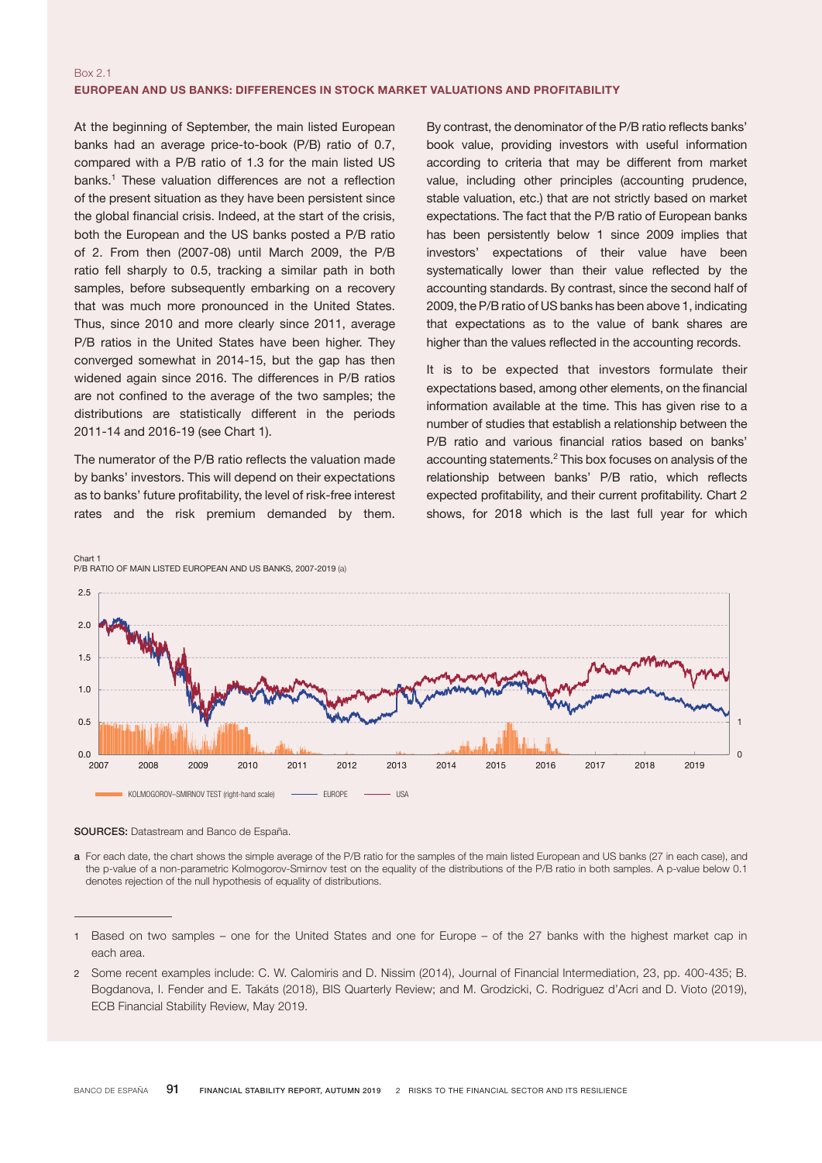## Box 2.1 EUROPEAN AND US BANKS: DIFFERENCES IN STOCK MARKET VALUATIONS AND PROFITABILITY

At the beginning of September, the main listed European banks had an average price-to-book (P/B) ratio of 0.7, compared with a P/B ratio of 1.3 for the main listed US banks.<sup>1</sup> These valuation differences are not a reflection of the present situation as they have been persistent since the global financial crisis. Indeed, at the start of the crisis, both the European and the US banks posted a P/B ratio of 2. From then (2007-08) until March 2009, the P/B ratio fell sharply to 0.5, tracking a similar path in both samples, before subsequently embarking on a recovery that was much more pronounced in the United States. Thus, since 2010 and more clearly since 2011, average P/B ratios in the United States have been higher. They converged somewhat in 2014-15, but the gap has then widened again since 2016. The differences in P/B ratios are not confined to the average of the two samples; the distributions are statistically different in the periods 2011-14 and 2016-19 (see Chart 1).

The numerator of the P/B ratio reflects the valuation made by banks' investors. This will depend on their expectations as to banks' future profitability, the level of risk-free interest rates and the risk premium demanded by them.

By contrast, the denominator of the P/B ratio reflects banks' book value, providing investors with useful information according to criteria that may be different from market value, including other principles (accounting prudence, stable valuation, etc.) that are not strictly based on market expectations. The fact that the P/B ratio of European banks has been persistently below 1 since 2009 implies that investors' expectations of their value have been systematically lower than their value reflected by the accounting standards. By contrast, since the second half of 2009, the P/B ratio of US banks has been above 1, indicating that expectations as to the value of bank shares are higher than the values reflected in the accounting records.

It is to be expected that investors formulate their expectations based, among other elements, on the financial information available at the time. This has given rise to a number of studies that establish a relationship between the P/B ratio and various financial ratios based on banks' accounting statements.<sup>2</sup> This box focuses on analysis of the relationship between banks' P/B ratio, which reflects expected profitability, and their current profitability. Chart 2 shows, for 2018 which is the last full year for which



SOURCES: Datastream and Banco de España.

a For each date, the chart shows the simple average of the P/B ratio for the samples of the main listed European and US banks (27 in each case), and the p-value of a non-parametric Kolmogorov-Smirnov test on the equality of the distributions of the P/B ratio in both samples. A p-value below 0.1 denotes rejection of the null hypothesis of equality of distributions.

2 Some recent examples include: C. W. Calomiris and D. Nissim (2014), Journal of Financial Intermediation, 23, pp. 400-435; B. Bogdanova, I. Fender and E. Takáts (2018), BIS Quarterly Review; and M. Grodzicki, C. Rodriguez d'Acri and D. Vioto (2019), ECB Financial Stability Review, May 2019.

<sup>1</sup> Based on two samples – one for the United States and one for Europe – of the 27 banks with the highest market cap in each area.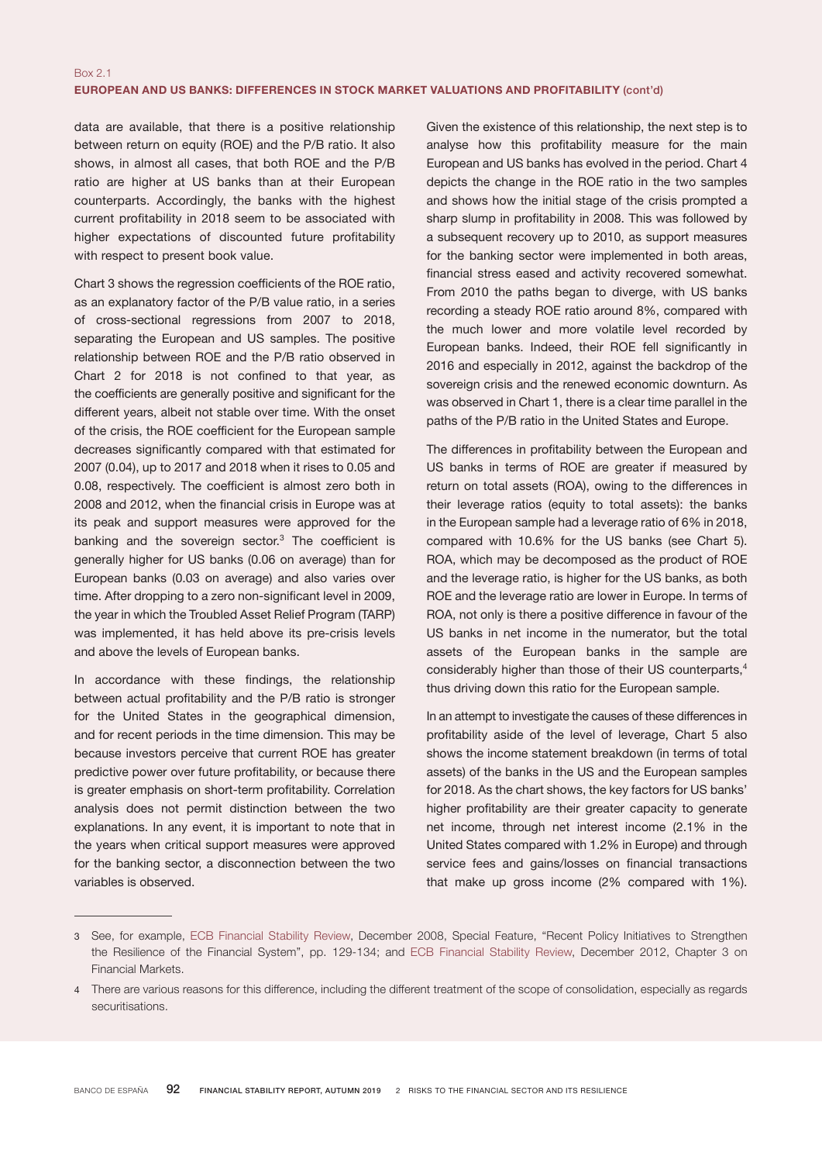data are available, that there is a positive relationship between return on equity (ROE) and the P/B ratio. It also shows, in almost all cases, that both ROE and the P/B ratio are higher at US banks than at their European counterparts. Accordingly, the banks with the highest current profitability in 2018 seem to be associated with higher expectations of discounted future profitability with respect to present book value.

Chart 3 shows the regression coefficients of the ROE ratio, as an explanatory factor of the P/B value ratio, in a series of cross-sectional regressions from 2007 to 2018, separating the European and US samples. The positive relationship between ROE and the P/B ratio observed in Chart 2 for 2018 is not confined to that year, as the coefficients are generally positive and significant for the different years, albeit not stable over time. With the onset of the crisis, the ROE coefficient for the European sample decreases significantly compared with that estimated for 2007 (0.04), up to 2017 and 2018 when it rises to 0.05 and 0.08, respectively. The coefficient is almost zero both in 2008 and 2012, when the financial crisis in Europe was at its peak and support measures were approved for the banking and the sovereign sector.<sup>3</sup> The coefficient is generally higher for US banks (0.06 on average) than for European banks (0.03 on average) and also varies over time. After dropping to a zero non-significant level in 2009, the year in which the Troubled Asset Relief Program (TARP) was implemented, it has held above its pre-crisis levels and above the levels of European banks.

In accordance with these findings, the relationship between actual profitability and the P/B ratio is stronger for the United States in the geographical dimension, and for recent periods in the time dimension. This may be because investors perceive that current ROE has greater predictive power over future profitability, or because there is greater emphasis on short-term profitability. Correlation analysis does not permit distinction between the two explanations. In any event, it is important to note that in the years when critical support measures were approved for the banking sector, a disconnection between the two variables is observed.

Given the existence of this relationship, the next step is to analyse how this profitability measure for the main European and US banks has evolved in the period. Chart 4 depicts the change in the ROE ratio in the two samples and shows how the initial stage of the crisis prompted a sharp slump in profitability in 2008. This was followed by a subsequent recovery up to 2010, as support measures for the banking sector were implemented in both areas, financial stress eased and activity recovered somewhat. From 2010 the paths began to diverge, with US banks recording a steady ROE ratio around 8%, compared with the much lower and more volatile level recorded by European banks. Indeed, their ROE fell significantly in 2016 and especially in 2012, against the backdrop of the sovereign crisis and the renewed economic downturn. As was observed in Chart 1, there is a clear time parallel in the paths of the P/B ratio in the United States and Europe.

The differences in profitability between the European and US banks in terms of ROE are greater if measured by return on total assets (ROA), owing to the differences in their leverage ratios (equity to total assets): the banks in the European sample had a leverage ratio of 6% in 2018, compared with 10.6% for the US banks (see Chart 5). ROA, which may be decomposed as the product of ROE and the leverage ratio, is higher for the US banks, as both ROE and the leverage ratio are lower in Europe. In terms of ROA, not only is there a positive difference in favour of the US banks in net income in the numerator, but the total assets of the European banks in the sample are considerably higher than those of their US counterparts,<sup>4</sup> thus driving down this ratio for the European sample.

In an attempt to investigate the causes of these differences in profitability aside of the level of leverage, Chart 5 also shows the income statement breakdown (in terms of total assets) of the banks in the US and the European samples for 2018. As the chart shows, the key factors for US banks' higher profitability are their greater capacity to generate net income, through net interest income (2.1% in the United States compared with 1.2% in Europe) and through service fees and gains/losses on financial transactions that make up gross income (2% compared with 1%).

<sup>3</sup> See, for example, [ECB Financial Stability Review,](https://www.ecb.europa.eu/pub/pdf/fsr/financialstabilityreview200812en.pdf?52a15926c865e9ce503e16cd3f19f87c) December 2008, Special Feature, "Recent Policy Initiatives to Strengthen the Resilience of the Financial System", pp. 129-134; and [ECB Financial Stability Review](https://www.ecb.europa.eu/pub/pdf/fsr/financialstabilityreview201212en.pdf?47131016f3484504ec56420628b2f354), December 2012, Chapter 3 on Financial Markets.

<sup>4</sup> There are various reasons for this difference, including the different treatment of the scope of consolidation, especially as regards securitisations.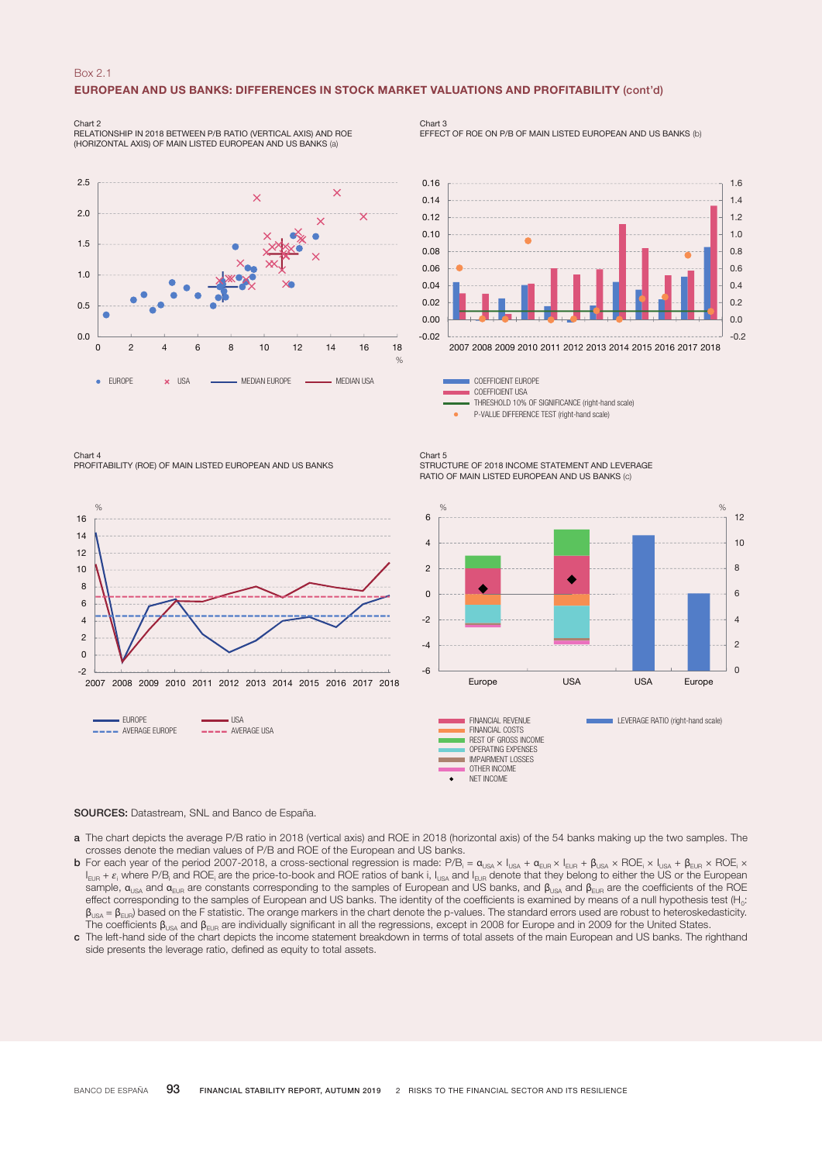#### Box 2.1

### EUROPEAN AND US BANKS: DIFFERENCES IN STOCK MARKET VALUATIONS AND PROFITABILITY (cont'd)

Chart 2 RELATIONSHIP IN 2018 BETWEEN P/B RATIO (VERTICAL AXIS) AND ROE (HORIZONTAL AXIS) OF MAIN LISTED EUROPEAN AND US BANKS (a)



Chart 3 EFFECT OF ROE ON P/B OF MAIN LISTED EUROPEAN AND US BANKS (b)



COEFFICIENT EUROPE COEFFICIENT USA THRESHOLD 10% OF SIGNIFICANCE (right-hand scale) P-VALUE DIFFERENCE TEST (right-hand scale)

Chart 4 PROFITABILITY (ROE) OF MAIN LISTED EUROPEAN AND US BANKS



Chart 5 STRUCTURE OF 2018 INCOME STATEMENT AND LEVERAGE RATIO OF MAIN LISTED EUROPEAN AND US BANKS (c)



SOURCES: Datastream, SNL and Banco de España.

- a The chart depicts the average P/B ratio in 2018 (vertical axis) and ROE in 2018 (horizontal axis) of the 54 banks making up the two samples. The crosses denote the median values of P/B and ROE of the European and US banks.
- **b** For each year of the period 2007-2018, a cross-sectional regression is made: P/B<sub>i</sub> =  $\alpha_{\text{USA}} \times \mathsf{I}_{\text{USA}} + \alpha_{\text{EUR}} \times \mathsf{I}_{\text{EUR}} + \beta_{\text{USA}} \times \text{ROE}_i \times \mathsf{AOE}_i \times \mathsf{IOE}_i \times \mathsf{I}_{\text{EUR}}$  $I_{\text{EUR}}$  +  $\varepsilon_i$  where P/B<sub>i</sub> and ROE<sub>i</sub> are the price-to-book and ROE ratios of bank i,  $I_{\text{USA}}$  and  $I_{\text{EUR}}$  denote that they belong to either the US or the European  $E_{\text{B}}$  and  $E_{\text{E}}$  and  $E_{\text{E}}$  are constants corresponding to the samples of European and US banks, and  $\beta_{\text{B}}$  and  $\beta_{\text{E}}$  are the coefficients of the ROE effect corresponding to the samples of European and US banks. The identity of the coefficients is examined by means of a null hypothesis test (H<sub>0</sub>:  $β_{USA} = β_{EUR}$  based on the F statistic. The orange markers in the chart denote the p-values. The standard errors used are robust to heteroskedasticity. The coefficients  $\beta_{USA}$  and  $\beta_{EUR}$  are individually significant in all the regressions, except in 2008 for Europe and in 2009 for the United States.
- c The left-hand side of the chart depicts the income statement breakdown in terms of total assets of the main European and US banks. The righthand side presents the leverage ratio, defined as equity to total assets.